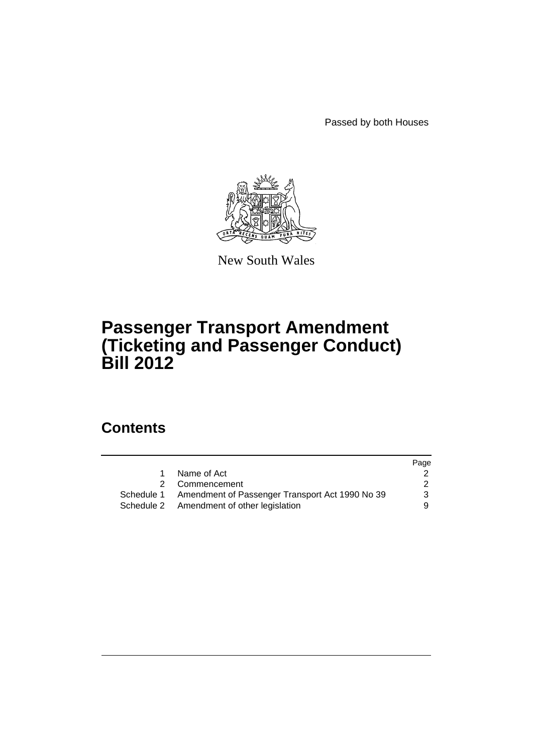Passed by both Houses



New South Wales

# **Passenger Transport Amendment (Ticketing and Passenger Conduct) Bill 2012**

# **Contents**

|             |                                                            | Page          |
|-------------|------------------------------------------------------------|---------------|
| $\mathbf 1$ | Name of Act                                                |               |
|             | 2 Commencement                                             | $\mathcal{P}$ |
|             | Schedule 1 Amendment of Passenger Transport Act 1990 No 39 | 3             |
|             | Schedule 2 Amendment of other legislation                  | 9.            |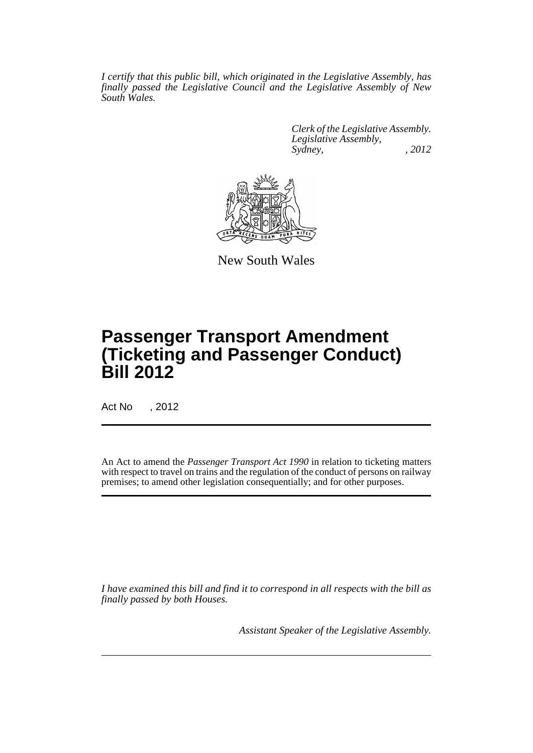*I certify that this public bill, which originated in the Legislative Assembly, has finally passed the Legislative Council and the Legislative Assembly of New South Wales.*

> *Clerk of the Legislative Assembly. Legislative Assembly, Sydney, , 2012*



New South Wales

# **Passenger Transport Amendment (Ticketing and Passenger Conduct) Bill 2012**

Act No , 2012

An Act to amend the *Passenger Transport Act 1990* in relation to ticketing matters with respect to travel on trains and the regulation of the conduct of persons on railway premises; to amend other legislation consequentially; and for other purposes.

*I have examined this bill and find it to correspond in all respects with the bill as finally passed by both Houses.*

*Assistant Speaker of the Legislative Assembly.*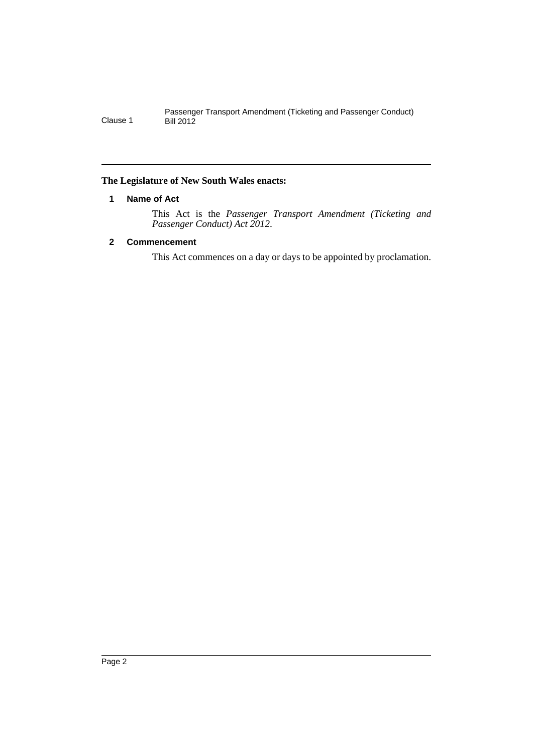# <span id="page-3-0"></span>**The Legislature of New South Wales enacts:**

# **1 Name of Act**

This Act is the *Passenger Transport Amendment (Ticketing and Passenger Conduct) Act 2012*.

# <span id="page-3-1"></span>**2 Commencement**

This Act commences on a day or days to be appointed by proclamation.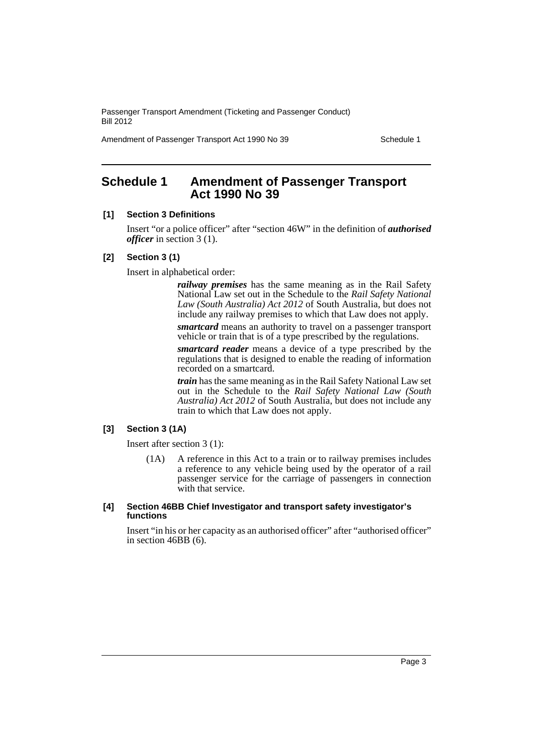Amendment of Passenger Transport Act 1990 No 39 Schedule 1

# <span id="page-4-0"></span>**Schedule 1 Amendment of Passenger Transport Act 1990 No 39**

#### **[1] Section 3 Definitions**

Insert "or a police officer" after "section 46W" in the definition of *authorised officer* in section 3 (1).

#### **[2] Section 3 (1)**

Insert in alphabetical order:

*railway premises* has the same meaning as in the Rail Safety National Law set out in the Schedule to the *Rail Safety National Law (South Australia) Act 2012* of South Australia, but does not include any railway premises to which that Law does not apply.

*smartcard* means an authority to travel on a passenger transport vehicle or train that is of a type prescribed by the regulations.

*smartcard reader* means a device of a type prescribed by the regulations that is designed to enable the reading of information recorded on a smartcard.

*train* has the same meaning as in the Rail Safety National Law set out in the Schedule to the *Rail Safety National Law (South Australia) Act 2012* of South Australia, but does not include any train to which that Law does not apply.

# **[3] Section 3 (1A)**

Insert after section 3 (1):

(1A) A reference in this Act to a train or to railway premises includes a reference to any vehicle being used by the operator of a rail passenger service for the carriage of passengers in connection with that service.

#### **[4] Section 46BB Chief Investigator and transport safety investigator's functions**

Insert "in his or her capacity as an authorised officer" after "authorised officer" in section 46BB (6).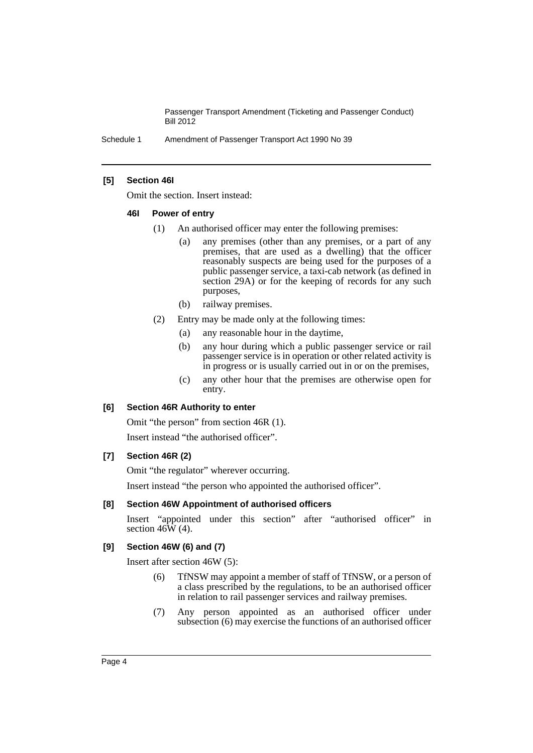Schedule 1 Amendment of Passenger Transport Act 1990 No 39

### **[5] Section 46I**

Omit the section. Insert instead:

#### **46I Power of entry**

- (1) An authorised officer may enter the following premises:
	- (a) any premises (other than any premises, or a part of any premises, that are used as a dwelling) that the officer reasonably suspects are being used for the purposes of a public passenger service, a taxi-cab network (as defined in section 29A) or for the keeping of records for any such purposes,
	- (b) railway premises.
- (2) Entry may be made only at the following times:
	- (a) any reasonable hour in the daytime,
	- (b) any hour during which a public passenger service or rail passenger service is in operation or other related activity is in progress or is usually carried out in or on the premises,
	- (c) any other hour that the premises are otherwise open for entry.

#### **[6] Section 46R Authority to enter**

Omit "the person" from section 46R (1). Insert instead "the authorised officer".

# **[7] Section 46R (2)**

Omit "the regulator" wherever occurring.

Insert instead "the person who appointed the authorised officer".

#### **[8] Section 46W Appointment of authorised officers**

Insert "appointed under this section" after "authorised officer" in section  $46\hat{W}$  (4).

# **[9] Section 46W (6) and (7)**

Insert after section 46W (5):

- (6) TfNSW may appoint a member of staff of TfNSW, or a person of a class prescribed by the regulations, to be an authorised officer in relation to rail passenger services and railway premises.
- (7) Any person appointed as an authorised officer under subsection (6) may exercise the functions of an authorised officer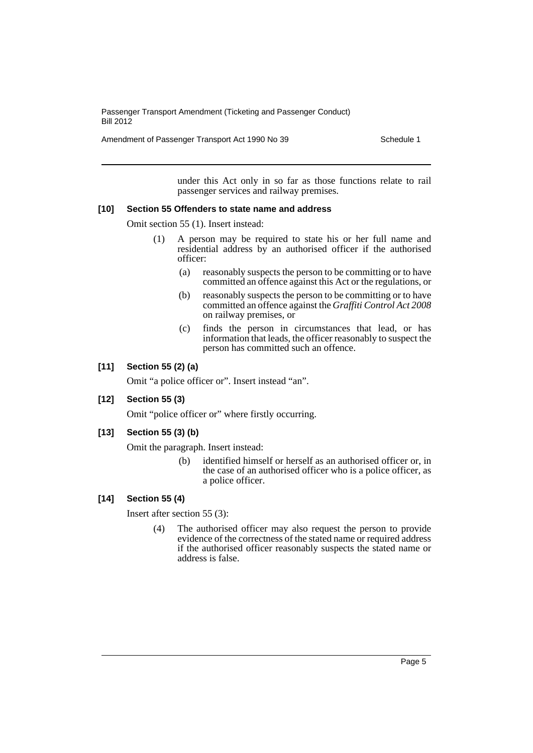Amendment of Passenger Transport Act 1990 No 39 Schedule 1

under this Act only in so far as those functions relate to rail passenger services and railway premises.

#### **[10] Section 55 Offenders to state name and address**

Omit section 55 (1). Insert instead:

- (1) A person may be required to state his or her full name and residential address by an authorised officer if the authorised officer:
	- (a) reasonably suspects the person to be committing or to have committed an offence against this Act or the regulations, or
	- (b) reasonably suspects the person to be committing or to have committed an offence against the *Graffiti Control Act 2008* on railway premises, or
	- (c) finds the person in circumstances that lead, or has information that leads, the officer reasonably to suspect the person has committed such an offence.

# **[11] Section 55 (2) (a)**

Omit "a police officer or". Insert instead "an".

# **[12] Section 55 (3)**

Omit "police officer or" where firstly occurring.

# **[13] Section 55 (3) (b)**

Omit the paragraph. Insert instead:

(b) identified himself or herself as an authorised officer or, in the case of an authorised officer who is a police officer, as a police officer.

# **[14] Section 55 (4)**

Insert after section 55 (3):

(4) The authorised officer may also request the person to provide evidence of the correctness of the stated name or required address if the authorised officer reasonably suspects the stated name or address is false.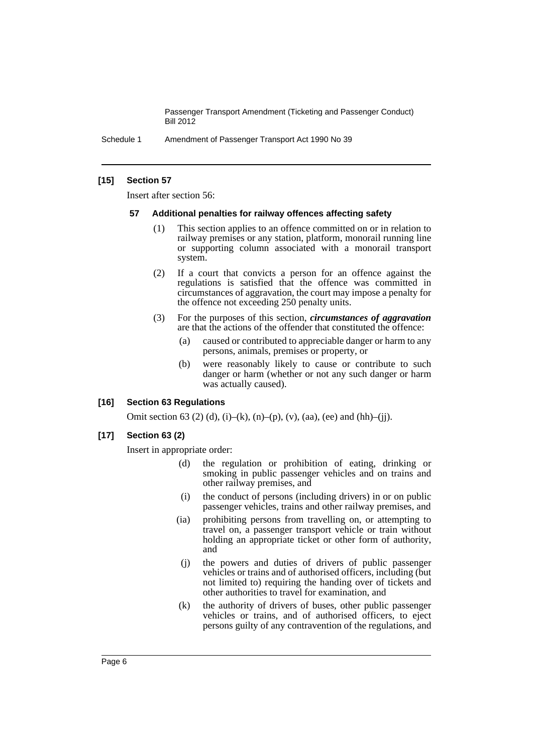Schedule 1 Amendment of Passenger Transport Act 1990 No 39

#### **[15] Section 57**

Insert after section 56:

#### **57 Additional penalties for railway offences affecting safety**

- (1) This section applies to an offence committed on or in relation to railway premises or any station, platform, monorail running line or supporting column associated with a monorail transport system.
- (2) If a court that convicts a person for an offence against the regulations is satisfied that the offence was committed in circumstances of aggravation, the court may impose a penalty for the offence not exceeding 250 penalty units.
- (3) For the purposes of this section, *circumstances of aggravation* are that the actions of the offender that constituted the offence:
	- (a) caused or contributed to appreciable danger or harm to any persons, animals, premises or property, or
	- (b) were reasonably likely to cause or contribute to such danger or harm (whether or not any such danger or harm was actually caused).

#### **[16] Section 63 Regulations**

Omit section 63 (2) (d), (i)–(k), (n)–(p), (v), (aa), (ee) and (hh)–(jj).

# **[17] Section 63 (2)**

Insert in appropriate order:

- (d) the regulation or prohibition of eating, drinking or smoking in public passenger vehicles and on trains and other railway premises, and
- (i) the conduct of persons (including drivers) in or on public passenger vehicles, trains and other railway premises, and
- (ia) prohibiting persons from travelling on, or attempting to travel on, a passenger transport vehicle or train without holding an appropriate ticket or other form of authority, and
- (j) the powers and duties of drivers of public passenger vehicles or trains and of authorised officers, including (but not limited to) requiring the handing over of tickets and other authorities to travel for examination, and
- (k) the authority of drivers of buses, other public passenger vehicles or trains, and of authorised officers, to eject persons guilty of any contravention of the regulations, and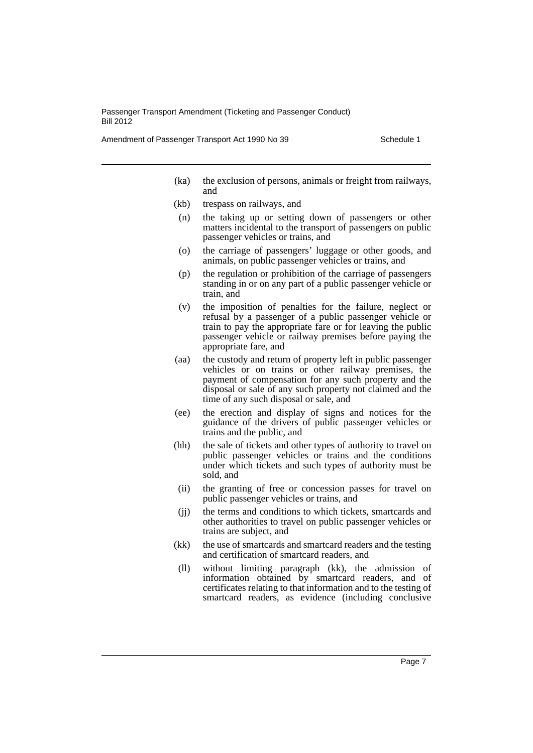Amendment of Passenger Transport Act 1990 No 39 Schedule 1

- (ka) the exclusion of persons, animals or freight from railways, and
- (kb) trespass on railways, and
- (n) the taking up or setting down of passengers or other matters incidental to the transport of passengers on public passenger vehicles or trains, and
- (o) the carriage of passengers' luggage or other goods, and animals, on public passenger vehicles or trains, and
- (p) the regulation or prohibition of the carriage of passengers standing in or on any part of a public passenger vehicle or train, and
- (v) the imposition of penalties for the failure, neglect or refusal by a passenger of a public passenger vehicle or train to pay the appropriate fare or for leaving the public passenger vehicle or railway premises before paying the appropriate fare, and
- (aa) the custody and return of property left in public passenger vehicles or on trains or other railway premises, the payment of compensation for any such property and the disposal or sale of any such property not claimed and the time of any such disposal or sale, and
- (ee) the erection and display of signs and notices for the guidance of the drivers of public passenger vehicles or trains and the public, and
- (hh) the sale of tickets and other types of authority to travel on public passenger vehicles or trains and the conditions under which tickets and such types of authority must be sold, and
- (ii) the granting of free or concession passes for travel on public passenger vehicles or trains, and
- (jj) the terms and conditions to which tickets, smartcards and other authorities to travel on public passenger vehicles or trains are subject, and
- (kk) the use of smartcards and smartcard readers and the testing and certification of smartcard readers, and
- (ll) without limiting paragraph (kk), the admission of information obtained by smartcard readers, and of certificates relating to that information and to the testing of smartcard readers, as evidence (including conclusive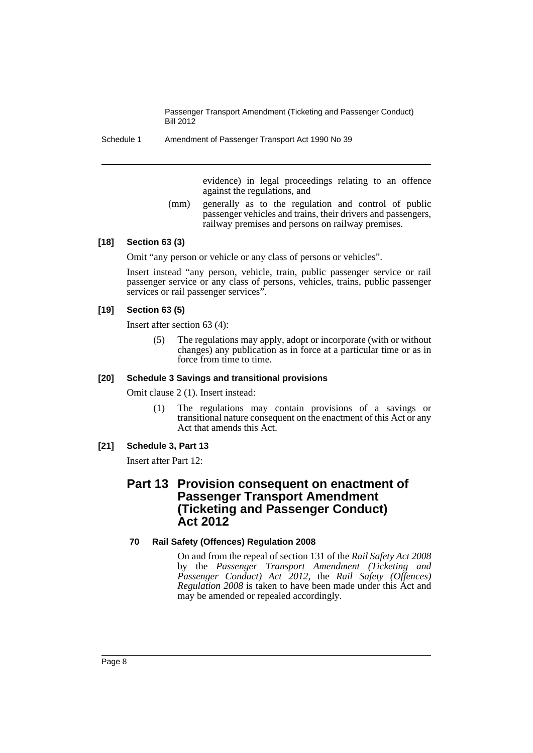Schedule 1 Amendment of Passenger Transport Act 1990 No 39

evidence) in legal proceedings relating to an offence against the regulations, and

(mm) generally as to the regulation and control of public passenger vehicles and trains, their drivers and passengers, railway premises and persons on railway premises.

#### **[18] Section 63 (3)**

Omit "any person or vehicle or any class of persons or vehicles".

Insert instead "any person, vehicle, train, public passenger service or rail passenger service or any class of persons, vehicles, trains, public passenger services or rail passenger services".

#### **[19] Section 63 (5)**

Insert after section 63 (4):

(5) The regulations may apply, adopt or incorporate (with or without changes) any publication as in force at a particular time or as in force from time to time.

### **[20] Schedule 3 Savings and transitional provisions**

Omit clause 2 (1). Insert instead:

(1) The regulations may contain provisions of a savings or transitional nature consequent on the enactment of this Act or any Act that amends this Act.

# **[21] Schedule 3, Part 13**

Insert after Part 12:

# **Part 13 Provision consequent on enactment of Passenger Transport Amendment (Ticketing and Passenger Conduct) Act 2012**

# **70 Rail Safety (Offences) Regulation 2008**

On and from the repeal of section 131 of the *Rail Safety Act 2008* by the *Passenger Transport Amendment (Ticketing and Passenger Conduct) Act 2012*, the *Rail Safety (Offences) Regulation 2008* is taken to have been made under this Act and may be amended or repealed accordingly.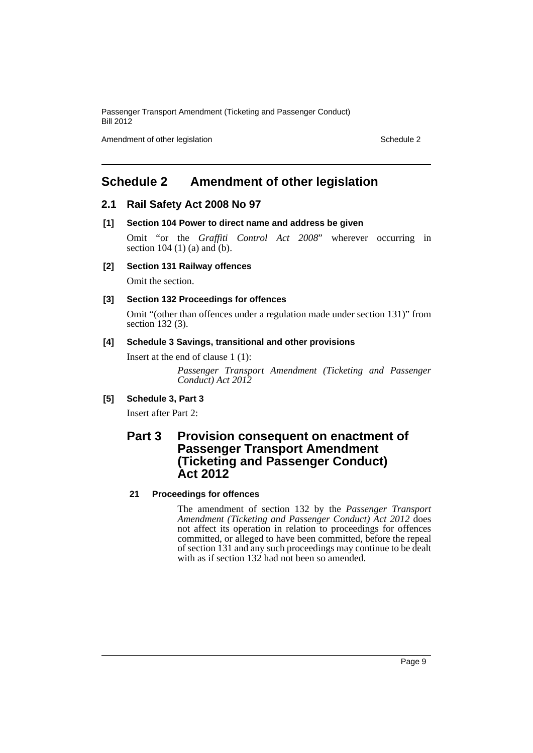Amendment of other legislation Schedule 2

# <span id="page-10-0"></span>**Schedule 2 Amendment of other legislation**

# **2.1 Rail Safety Act 2008 No 97**

**[1] Section 104 Power to direct name and address be given**

Omit "or the *Graffiti Control Act 2008*" wherever occurring in section  $104$  (1) (a) and (b).

**[2] Section 131 Railway offences**

Omit the section.

### **[3] Section 132 Proceedings for offences**

Omit "(other than offences under a regulation made under section 131)" from section 132 (3).

#### **[4] Schedule 3 Savings, transitional and other provisions**

Insert at the end of clause 1 (1):

*Passenger Transport Amendment (Ticketing and Passenger Conduct) Act 2012*

# **[5] Schedule 3, Part 3**

Insert after Part 2:

# **Part 3 Provision consequent on enactment of Passenger Transport Amendment (Ticketing and Passenger Conduct) Act 2012**

# **21 Proceedings for offences**

The amendment of section 132 by the *Passenger Transport Amendment (Ticketing and Passenger Conduct) Act 2012* does not affect its operation in relation to proceedings for offences committed, or alleged to have been committed, before the repeal of section 131 and any such proceedings may continue to be dealt with as if section 132 had not been so amended.